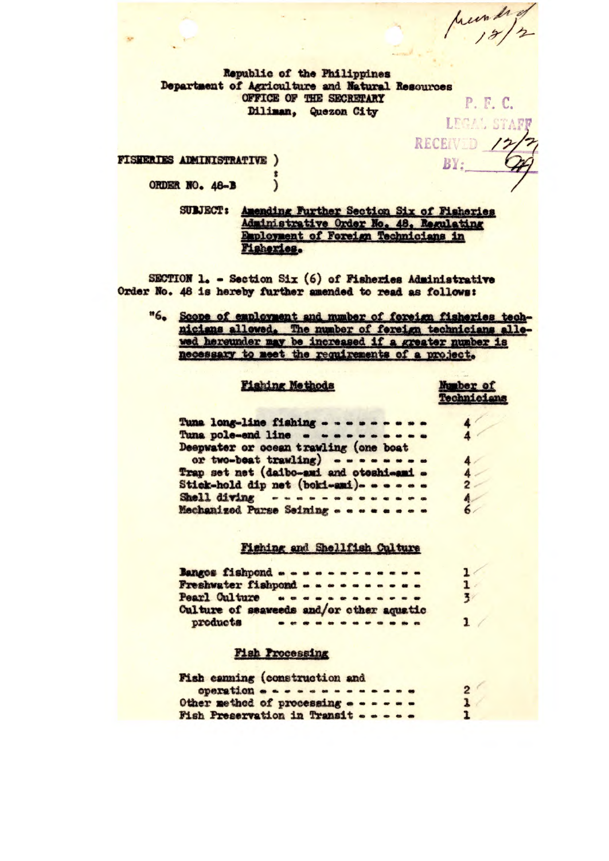prember

P. F. C.

RECEIVED /:

BY:

Republic of the Philippines Department of Agriculture and Natural Resources OFFICE OF THE SECRETARY Diliman, Quezon City LEGAL STAFF

**FISHERIES ADMINISTRATIVE )** ORDER NO. 48-B  $\mathcal{E}$ 

> SULJECT: Amending Further Section Six of Pisheries Administrative Order No. 48. Regulating Employment of Foreign Technicians in Fisheries.

SECTION 1. - Section Six (6) of Fisheries Administrative Order No. 48 is hereby further amended to read as follows:

"6. Scope of employment and mumber of foreign fisheries technicians allowed. The number of fereign technicians allowed hereunder may be increased if a greater number is necessary to meet the requirements of a project.

#### **Fishing Methods**

#### Munber of Technicians

 $2<sup>1</sup>$  $\mathbf{1}$ 

| Tuna long-line fishing - - - - - - - - - |                  |              |
|------------------------------------------|------------------|--------------|
| Tuna pole-end line - ---------           |                  |              |
| Deepwater or ocean trawling (one boat    |                  |              |
| or two-beat trawling) --------           |                  |              |
| Trap set net (daibo-ami and otoshi-ami - |                  |              |
| Stick-hold dip net (boki-ami)- - - - - - |                  | $\mathbf{2}$ |
| Shell diving - ------------              | $\left  \right $ |              |
| Mechanized Parse Seining                 |                  |              |

## Fishing and Shellfish Culture

| Bangos fishpond                          |  |  |  |  |  |  |
|------------------------------------------|--|--|--|--|--|--|
| Freshwater fishpond - - - - - - - - - -  |  |  |  |  |  |  |
| Pearl Culture second -----               |  |  |  |  |  |  |
| Culture of seaweeds and/or other aquatic |  |  |  |  |  |  |
| products<br>-------------                |  |  |  |  |  |  |

## **Fish Processing**

| Fish canning (construction and       |  |  |  |
|--------------------------------------|--|--|--|
| operation                            |  |  |  |
| Other method of processing - - - - - |  |  |  |
| Fish Preservation in Transit         |  |  |  |